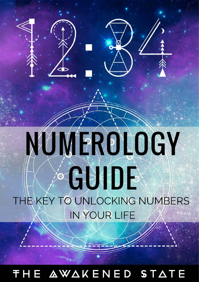# **IMPROLOGY**  $X'$  $\frac{1}{2}$ THE KEY TO UNLOCKING NUMBERS IN YOUR LIFE

© The Awakened State | [TheAwakenedState.net](http://theawakenedstate.net/) 1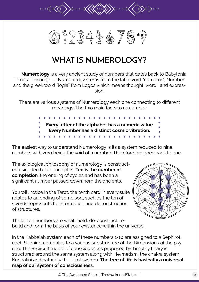

# **WHAT IS NUMEROLOGY?**

 **Numerology** is a very ancient study of numbers that dates back to Babylonia Times. The origin of Numerology stems from the latin word "numerus", Number and the greek word "logia" from Logos which means thought, word, and expression.

There are various systems of Numerology each one connecting to different meanings. The two main facts to remember:

> **Every letter of the alphabet has a numeric value Every Number has a distinct cosmic vibration.**

The easiest way to understand Numerology is its a system reduced to nine numbers with zero being the void of a number. Therefore ten goes back to one.

The axiological philosophy of numerology is constructed using ten basic principles. **Ten is the number of completion**, the ending of cycles and has been a significant number passed down from the ancients.

You will notice in the Tarot, the tenth card in every suite relates to an ending of some sort, such as the ten of swords represents transformation and deconstruction of structures.

These Ten numbers are what mold, de-construct, rebuild and form the basis of your existence within the universe.



In the Kabbalah system each of these numbers 1-10 are assigned to a Sephirot, each Sephirot correlates to a various substructure of the Dimensions of the psyche. The 8-circuit model of consciousness proposed by Timothy Leary is structured around the same system along with Hermetism, the chakra system, Kundalini and naturally the Tarot system. **The tree of life is basically a universal map of our system of consciousness.**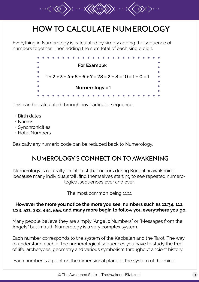# **HOW TO CALCULATE NUMEROLOGY**

Everything in Numerology is calculated by simply adding the sequence of numbers together. Then adding the sum total of each single digit.



This can be calculated through any particular sequence:

- Birth dates
- Names
- Synchronicities
- Hotel Numbers

Basically any numeric code can be reduced back to Numerology.

### **NUMEROLOGY'S CONNECTION TO AWAKENING**

 • because many individuals will find themselves starting to see repeated numero-Numerology is naturally an interest that occurs during Kundalini awakening logical sequences over and over.

The most common being 11:11

#### **However the more you notice the more you see, numbers such as 12:34, 111, 1:33, 511, 333, 444, 555, and many more begin to follow you everywhere you go.**

Many people believe they are simply "Angelic Numbers" or "Messages from the Angels" but in truth Numerology is a very complex system.

Each number corresponds to the system of the Kabbalah and the Tarot. The way to understand each of the numerological sequences you have to study the tree of life, archetypes, geometry and various symbolism throughout ancient history.

Each number is a point on the dimensional plane of the system of the mind.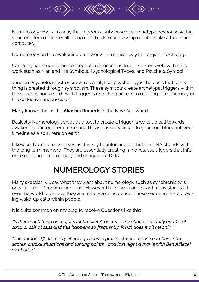Numerology works in a way that triggers a subconscious archetypal response within your long term memory all going right back to processing numbers like a futuristic computer.

Numerology on the awakening path works in a similar way to Jungian Psychology.

Carl Jung has studied this concept of subconscious triggers extensively within his work such as Man and His Symbols, Psychological Types, and Psyche & Symbol.

Jungian Psychology better known as analytical psychology is the basis that everything is created through symbolism. These symbols create archetypal triggers within the subconscious mind. Each trigger is unlocking access to our long term memory or the collective unconscious.

Many known this as the **Akashic Records** in the New Age world.

Basically Numerology serves as a tool to create a trigger, a wake up call towards awakening our long term memory. This is basically linked to your soul blueprint, your timeline as a soul here on earth.

Likewise, Numerology serves as this key to unlocking our hidden DNA strands within the long term memory. They are essentially creating mind relapse triggers that influence our long term memory and change our DNA.

# **NUMEROLOGY STORIES**

Many skeptics will say what they want about numerology such as synchronicity is only a form of "confirmation bias". However I have seen and heard many stories all over the world to believe they are merely a coincidence. These sequences are creating wake-up calls within people.

It is quite common on my blog to receive Questions like this:

*"Is there such thing as major synchronicity? because my phone is usually on 10% at 10:10 or 11% at 11:11 and this happens so frequently. What does it all mean?"*

*"The number 17 . It's everywhere I go license plates, streets , house númbers, nba scores, crucial situations and turning points... and last night a movie with Ben Affleck! symbolic?"*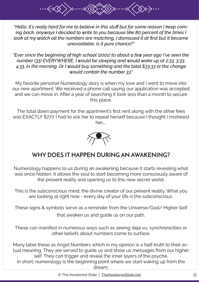*"Hello, it's really hard for me to believe in this stuff but for some reason I keep coming back, anyways I decided to write to you because like 80 percent of the times I look at my watch all the numbers are matching, I dismissed it at first but it became unavoidable, is it pure chance?"*

*"Ever since the beginning of high school (2001) to about a few year ago I've seen the number (33) EVERYWHERE. I would be sleeping and would wake up at 2:33, 3:33, 4:33, in the morning. Or I would buy something and the total \$33:33 or the change would contain the number 33"*

My favorite personal Numerology story is when my love and I went to move into our new apartment. We received a phone call saying our application was accepted and we can move in. After a year of searching it took less than a month to secure this place.

The total down payment for the apartment's first rent along with the other fees was EXACTLY \$777. I had to ask her to repeat herself because I thought I misheard her…..



# **WHY DOES IT HAPPEN DURING AN AWAKENING?**

Numerology happens to us during an awakening because it starts revealing what was once hidden. It allows the soul to start becoming more consciously aware of the present reality and opening us to this new secret world.

This is the subconscious mind, the divine creator of our present reality. What you are looking at right now - every day of your life is the subconscious.

These signs & symbols serve as a reminder from the Universe/God/ Higher Self that awaken us and guide us on our path.

These can manifest in numerous ways such as seeing deja vu, synchronicities or other beliefs about numbers come to surface.

Many label these as Angel Numbers which in my opinion is a half-truth to their actual meaning. They are served to guide us and show us messages from our higher self. They can trigger and reveal the inner layers of the psyche. In short, numerology is the beginning point where we start waking up from the

dream.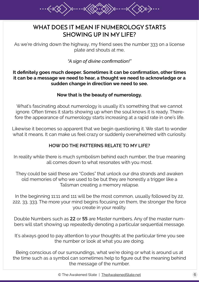# **WHAT DOES IT MEAN IF NUMEROLOGY STARTS SHOWING UP IN MY LIFE?**

As we're driving down the highway, my friend sees the number 333 on a license plate and shouts at me,

*"A sign of divine confirmation!"* 

**It definitely goes much deeper. Sometimes it can be confirmation, other times it can be a message we need to hear, a thought we need to acknowledge or a sudden change in direction we need to see.** 

#### **Now that is the beauty of numerology.**

What's fascinating about numerology is usually it's something that we cannot ignore. Often times it starts showing up when the soul knows it is ready. Therefore the appearance of numerology starts increasing at a rapid rate in one's life.

Likewise it becomes so apparent that we begin questioning it. We start to wonder what it means. It can make us feel crazy or suddenly overwhelmed with curiosity.

#### **HOW DO THE PATTERNS RELATE TO MY LIFE?**

In reality while there is much symbolism behind each number, the true meaning all comes down to what resonates with you most.

They could be said these are "Codes" that unlock our dna strands and awaken old memories of who we used to be but they are honestly a trigger like a Talisman creating a memory relapse.

In the beginning 11:11 and 111 will be the most common, usually followed by 22, 222, 33, 333. The more your mind begins focusing on them, the stronger the force you create in your reality.

Double Numbers such as 22 or 55 are Master numbers. Any of the master numbers will start showing up repeatedly denoting a particular sequential message.

It's always good to pay attention to your thoughts at the particular time you see the number or look at what you are doing.

Being conscious of our surroundings, what we're doing or what is around us at the time such as a symbol can sometimes help to figure out the meaning behind the message of the number.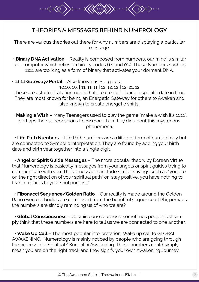# **THEORIES & MESSAGES BEHIND NUMEROLOGY**

There are various theories out there for why numbers are displaying a particular message:

• **Binary DNA Activation** – Reality is composed from numbers, our mind is similar to a computer which relies on binary codes (1's and 0's). These Numbers such as 11:11 are working as a form of binary that activates your dormant DNA.

• **11:11 Gateway/Portal** – Also known as Stargates:

10.10. 10. **|** 11. 11. 11 **|** 12. 12. 12 **|** 12. 21. 12 These are astrological alignments that are created during a specific date in time. They are most known for being an Energetic Gateway for others to Awaken and also known to create energetic shifts.

 • **Making a Wish** – Many Teenagers used to play the game "make a wish it's 11:11", perhaps their subconscious knew more than they did about this mysterious phenomena.

 • **Life Path Numbers** – Life Path numbers are a different form of numerology but are connected to Symbolic interpretation. They are found by adding your birth date and birth year together into a single digit.

 • **Angel or Spirit Guide Messages** – The more popular theory by Doreen Virtue that Numerology is basically messages from your angels or spirit guides trying to communicate with you. These messages include similar sayings such as "you are on the right direction of your spiritual path" or "stay positive, you have nothing to fear in regards to your soul purpose"

 • **Fibonacci Sequence/Golden Ratio** – Our reality is made around the Golden Ratio even our bodies are composed from the beautiful sequence of Phi, perhaps the numbers are simply reminding us of who we are?

 • **Global Consciousness** – Cosmic consciousness, sometimes people just simply think that these numbers are here to tell us we are connected to one another.

 • **Wake Up Call** – The most popular interpretation, Wake up call to GLOBAL AWAKENING. Numerology is mainly noticed by people who are going through the process of a Spiritual/ Kundalini Awakening. These numbers could simply mean you are on the right track and they signify your own Awakening Journey.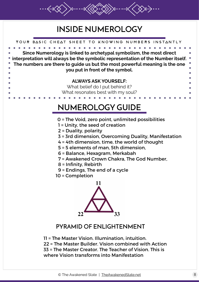# **INSIDE NUMEROLOGY**

Your basic cheat sheet to knowing numbers instantly

**Since Numerology is linked to archetypal symbolism, the most direct interpretation will always be the symbolic representation of the Number itself. The numbers are there to guide us but the most powerful meaning is the one you put in front of the symbol. ALWAYS ASK YOURSELF:**  What belief do I put behind it? What resonates best with my soul? 0 = The Void, zero point, unlimited possibilities 1 = Unity, the seed of creation 2 = Duality, polarity 3 = 3rd dimension, Overcoming Duality, Manifestation **NUMEROLOGY GUIDE**

- 4 = 4th dimension, time, the world of thought
- 5 = 5 elements of man, 5th dimension,
- 6 = Balance, Hexagram, Merkabah
- 7 = Awakened Crown Chakra, The God Number,
- 8 = Infinity, Rebirth
- 9 = Endings, The end of a cycle
- 10 = Completion



# **PYRAMID OF ENLIGHTENMENT**

11 = The Master Vision. Illumination, intuition. 22 = The Master Builder. Vision combined with Action 33 = The Master Creator. The Teacher of Vision. This is where Vision transforms into Manifestation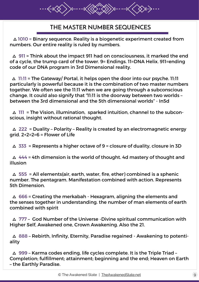# **THE MASTER NUMBER SEQUENCES**

 $\triangle$  1010 = Binary sequence. Reality is a biogenetic experiment created from numbers. Our entire reality is ruled by numbers.

 $\triangle$  911 = Think about the impact 911 had on consciousness, it marked the end of a cycle, the trump card of the tower. 9= Endings. 11=DNA Helix. 911=ending code of our DNA program in 3rd Dimensional reality.

 $\triangle$  11:11 = The Gateway/ Portal, it helps open the door into our psyche. 11:11 particularly is powerful because it is the combination of two master numbers together. We often see the 11:11 when we are going through a subconscious change. It could also signify that "11:11 is the doorway between two worlds – between the 3rd dimensional and the 5th dimensional worlds" - In5d

 $\triangle$  111 = The Vision, illumination, sparked intuition, channel to the subconscious, insight without rational thought.

 $\triangle$  222 = Duality - Polarity - Reality is created by an electromagnetic energy arid.  $2+2=2=6$  = Flower of Life

 $\triangle$  333 = Represents a higher octave of 9 = closure of duality, closure in 3D

 $\triangle$  444 = 4th dimension is the world of thought. 4d mastery of thought and illusion

 $\triangle$  555 = All elements(air, earth, water, fire, ether) combined is a sphenic number. The pentagram. Manifestation combined with action. Represents 5th Dimension.

 $\triangle$  666 = Creating the merkabah - Hexagram, aligning the elements and the senses together in understanding. the number of man elements of earth combined with spirit

 $\triangle$  777 - God Number of the Universe -Divine spiritual communication with Higher Self, Awakened one, Crown Awakening. Also the 21.

 $\triangle$  888 – Rebirth, Infinity, Eternity, Paradise regained - Awakening to potentiality

 $\triangle$  999 – Karma codes ending, life cycles complete. It is the Triple Triad – Completion; fulfillment; attainment; beginning and the end; Heaven on Earth – the Earthly Paradise.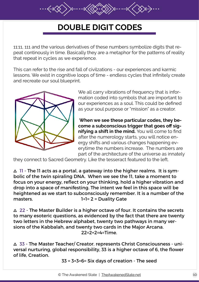# **DOUBLE DIGIT CODES**

11:11, 111 and the various derivatives of these numbers symbolize digits that repeat continously in time. Basically they are a metaphor for the patterns of reality that repeat in cycles as we experience.

This can refer to the rise and fall of civilzations - our experiences and karmic lessons. We exist in cognitive loops of time - endless cycles that infinitely create and recreate our soul blueprint.



We all carry vibrations of frequency that is information coded into symbols that are important to our experiences as a soul. This could be defined as your soul purpose or "mission" as a creator.

**When we see these particular codes, they become a subconscious trigger that goes off signifying a shift in the mind.** You will come to find after the numerology starts, you will notice energy shifts and various changes happening everytime the numbers increase. The numbers are part of the architecture of the universe as innately

they connect to Sacred Geometry. Like the tesseract featured to the left.

 $\Delta$  11 - The 11 acts as a portal, a gateway into the higher realms. It is symbolic of the twin spiraling DNA. When we see the 11, take a moment to focus on your energy, reflect on your thinking, hold a higher vibration and drop into a space of manifesting. The intent we feel in this space will be heightened as we start to subconsciously remember. It is a number of the masters. The Masters of the Masters of the Masters of the Masters of the Masters of the Masters of the Masters  $1+1=2=$  Duality Gate

 $\triangle$  22 - The Master Builder is a higher octave of four. It contains the secrets to many esoteric questions, as evidenced by the fact that there are twenty two letters in the Hebrew alphabet, twenty two pathways in many versions of the Kabbalah, and twenty two cards in the Major Arcana.  $22=2+2=4=7$ ime.

a 33 - The Master Teacher/ Creator. represents Christ Consciousness - universal nurturing, global responsibility, 33 is a higher octave of 6, the flower of life, Creation.

33 = 3+3=6= Six days of creation - The seed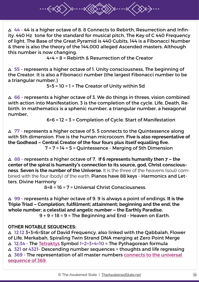$\Delta$  44 - 44 is a higher octave of 8.8 Connects to Rebirth, Resurrection and Infinity. 440 Hz tone for the standard for musical pitch, The Key of C 440 Frequency of light. The Base of the Great Pyramid is 440 Cubits, 144 is a Fibonacci Number & there is also the theory of the 144,000 alleged Ascended masters. Although this number is now changing.

4+4 = 8 = Rebirth & Resurrection of the Creator

 $\triangle$  55 - represents a higher octave of 1. Unity consciousness, The beginning of the Creator. It is also a Fibonacci number (the largest Fibonacci number to be a triangular number.)

5+5 = 10 = 1 = The Creator of Unity within 5d

 $\triangle$  66 - represents a higher octave of 3. We do things in threes, vision combined with action into Manifestation. 3 is the completion of the cycle. Life, Death, Rebirth. In mathematics is a sphenic number, a triangular number, a hexagonal number,

6+6 = 12 = 3 = Completion of Cycle. Start of Manifestation

 $\triangle$  77 - represents a higher octave of 5. 5 connects to the Quintessence along with 5th dimension. Five is the human microcosm. **Five is also representative of the Godhead – Central Creator of the four fours plus itself equalling five.** 7 + 7 = 14 = 5 = Quintessence - Merging of 5th Dimension

a 88 - represents a higher octave of 7. **If 6 represents humanity then 7 – the center of the spiral is humanity's connection to its source, god, Christ consciousness**. **Seven is the number of the Universe.** It is the three of the heavens (soul) combined with the four (body) of the earth. Pianos have 88 keys - Harmonics and Letters. Divine Harmony

8+8 = 16 = 7 = Universal Christ Consciousness.

a 99 - represents a higher octave of 9. 9 is always a point of endings. **It is the Triple Triad – Completion; fulfillment; attainment; beginning and the end; the whole number; a celestial and angelic number – the Earthly Paradise.** 9 + 9 = 18 = 9 = The Beginning and End - Heaven on Earth.

#### **OTHER NOTABLE SEQUENCES:**

a 12:12 3+3=6=Star of David Frequency, also linked with the Qabbalah, Flower of Life, Merkabah, Spiraling Twin Strand DNA merging at Zero Point Merge  $\triangle$  12:34 - The [Tetraktys](https://en.wikipedia.org/wiki/Tetractys) Symbol 1+2+3+4=10 = The Pythagorean formula  $\triangle$  321 or 4321- Descending number sequences = thoughts and life regressing  $\triangle$  369 - The representation of all master numbers connects to the universal [sequence of 369.](http://theawakenedstate.net/11-11-how-does-numerology-and-stargates-work/)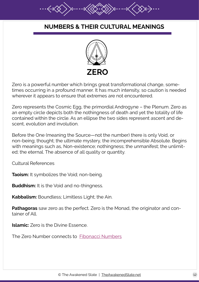### **NUMBERS & THEIR CULTURAL MEANINGS**



Zero is a powerful number which brings great transformational change, sometimes occurring in a profound manner. It has much intensity, so caution is needed wherever it appears to ensure that extremes are not encountered.

Zero represents the Cosmic Egg, the primordial Androgyne – the Plenum. Zero as an empty circle depicts both the nothingness of death and yet the totality of life contained within the circle. As an ellipse the two sides represent ascent and descent, evolution and involution.

Before the One (meaning the Source—not the number) there is only Void, or non-being; thought; the ultimate mystery, the incomprehensible Absolute. Begins with meanings such as, Non-existence; nothingness; the unmanifest; the unlimited; the eternal. The absence of all quality or quantity.

Cultural References

**Taoism:** It symbolizes the Void; non-being.

**Buddhism:** It is the Void and no-thingness.

**Kabbalism:** Boundless; Limitless Light; the Ain.

**Pathagoras** saw zero as the perfect. Zero is the Monad, the originator and container of All.

**Islamic:** Zero is the Divine Essence.

The Zero Number connects to [Fibonacci Numbers](https://en.wikipedia.org/wiki/Fibonacci_number)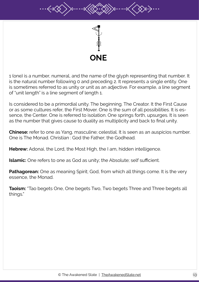

1 (one) is a number, numeral, and the name of the glyph representing that number. It is the natural number following 0 and preceding 2. It represents a single entity. One is sometimes referred to as unity or unit as an adjective. For example, a line segment of "unit length" is a line segment of length 1.

Is considered to be a primordial unity. The beginning. The Creator. It the First Cause or as some cultures refer, the First Mover. One is the sum of all possibilities. It is essence, the Center. One is referred to isolation. One springs forth, upsurges. It is seen as the number that gives cause to duality as multiplicity and back to final unity.

**Chinese:** refer to one as Yang, masculine; celestial. It is seen as an auspicios number. One is The Monad. Christian : God the Father; the Godhead.

**Hebrew:** Adonai, the Lord, the Most High, the I am, hidden intelligence.

**Islamic:** One refers to one as God as unity; the Absolute; self sufficient.

**Pathagorean:** One as meaning Spirit; God, from which all things come. It is the very essence, the Monad.

**Taoism:** "Tao begets One, One begets Two, Two begets Three and Three begets all things."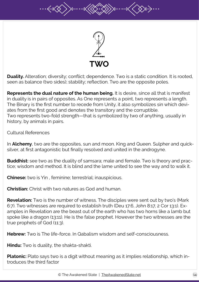

**Duality.** Alteration; diversity; conflict; dependence. Two is a static condition. It is rooted, seen as balance (two sides); stability; reflection. Two are the opposite poles.

**Represents the dual nature of the human being.** It is desire, since all that is manifest in duality is in pairs of opposites. As One represents a point, two represents a length. The Binary is the first number to recede from Unity, it also symbolizes sin which deviates from the first good and denotes the transitory and the corruptible. Two represents two-fold strength—that is symbolized by two of anything, usually in history, by animals in pairs.

Cultural References

In **Alchemy**, two are the opposites, sun and moon. King and Queen. Sulpher and quicksilver, at first antagonistic but finally resolved and united in the androgyne.

**Buddhist:** see two as the duality of samsara; male and female. Two is theory and practice; wisdom and method. It is blind and the lame united to see the way and to walk it.

**Chinese:** two is Yin , feminine; terrestrial; inauspicious.

**Christian:** Christ with two natures as God and human.

**Revelation:** Two is the number of witness. The disciples were sent out by two's (Mark 6:7). Two witnesses are required to establish truth (Deu 17:6, John 8:17, 2 Cor 13:1). Examples in Revelation are the beast out of the earth who has two horns like a lamb but spoke like a dragon (13:11). He is the false prophet. However the two witnesses are the true prophets of God (11:3).

**Hebrew:** Two is The life-force. In Qabalism wisdom and self-consciousness.

**Hindu:** Two is duality, the shakta-shakti.

**Platonic:** Plato says two is a digit without meaning as it implies relationship, which introduces the third factor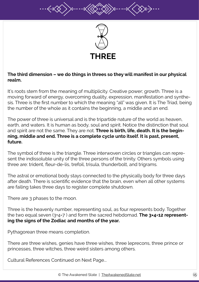

#### **The third dimension – we do things in threes so they will manifest in our physical realm.**

It's roots stem from the meaning of multiplicity. Creative power; growth. Three is a moving forward of energy, overcoming duality, expression, manifestation and synthesis. Three is the first number to which the meaning "all" was given. It is The Triad, being the number of the whole as it contains the beginning, a middle and an end.

The power of three is universal and is the tripartide nature of the world as heaven, earth, and waters. It is human as body, soul and spirit. Notice the distinction that soul and spirit are not the same. They are not. **Three is birth, life, death. It is the beginning, middle and end. Three is a complete cycle unto itself. It is past, present, future.**

The symbol of three is the triangle. Three interwoven circles or triangles can represent the indissoluble unity of the three persons of the trinity. Others symbols using three are: trident, fleur-de-lis, trefoil, trisula, thunderbolt, and trigrams.

The astral or emotional body stays connected to the physically body for three days after death. There is scientific evidence that the brain, even when all other systems are failing takes three days to register complete shutdown.

There are 3 phases to the moon.

Three is the heavenly number, representing soul, as four represents body. Together the two equal seven (3+4=7 ) and form the sacred hebdomad. **The 3×4=12 representing the signs of the Zodiac and months of the year.**

Pythagorean three means completion.

There are three wishes, genies have three wishes, three leprecons, three prince or princesses, three witches, three weird sisters among others.

Cultural References Continued on Next Page...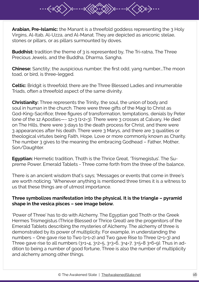**Arabian, Pre-Islamic:** the Manant is a threefold goddess representing the 3 Holy Virgins, Al-Itab, Al-Uzza, and Al-Manat. They are depicted as aniconic stelae, stones or pillars, or as pillars surmounted by doves.

**Buddhist:** tradition the theme of 3 is represented by, The Tri-ratna, The Three Precious Jewels, and the Buddha, Dharma, Sangha.

**Chinese:** Sanctity; the auspicious number; the first odd, yang number….The moon toad, or bird, is three-legged.

**Celtic:** Bridgit is threefold; there are the Three Blessed Ladies and innumerable Triads, often a threefold aspect of the same divinity.

**Christianity:** Three represents the Trinity, the soul, the union of body and soul in human in the church. There were three gifts of the Magi to Christ as God-King-Sacrifice; three figures of transformation, temptations, denials by Peter (one of the 12 Apostles—- 12=3 (1+2=3). There were 3 crosses at Calvary, He died on The Hills, there were 3 days to the death process for Christ, and there were 3 appearances after his death. There were 3 Marys, and there are 3 qualities or theological virtutes being Faith, Hope, Love or more commonly known as Charity. The number 3 gives to the meaning the embracing Godhead – Father, Mother, Son/Daughter.

**Egyptian:** Hermetic tradition, Thoth is the Thrice Great, 'Trismegistus'. The Supreme Power. Emerald Tablets - Three come forth from the three of the balance,

There is an ancient wisdom that's says; 'Messages or events that come in three's are worth noticing. 'Whenever anything is mentioned three times it is a witness to us that these things are of utmost importance.

#### **Three symbolizes manifestation into the physical. It is the triangle – pyramid shape in the vesica pisces – see image below.**

'Power of Three' has to do with Alchemy. The Egyptian god Thoth or the Greek Hermes Trismegistus (Thrice Blessed or Thrice Great) are the progenitors of the Emerald Tablets describing the mysteries of Alchemy. The alchemy of three is demonstrated by its power of multiplicity. For example, in understanding the numbers – One gave rise to Two (1+1=2) and Two gave Rise to Three (2+1=3) and Three gave rise to all numbers (3+1=4, 3+2=5, 3+3=6, 3+4=7, 3+5=8 3+6=9). Thus in addition to being a number of good fortune, Three is also the number of multiplicity and alchemy among other things.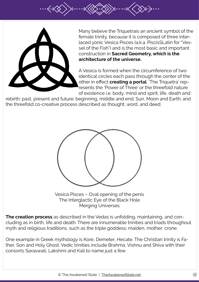

Many believe the Triquetrais an ancient symbol of the female trinity, because it is composed of three interlaced yonic Vesica Pisces (a.k.a. PiscisSLatin for "Vessel of the Fish") and is the most basic and important construction in **Sacred Geometry, which is the architecture of the universe.**

A Vesica is formed when the circumference of two identical circles each pass through the center of the other in effect **creating a portal**. 'The Triquetra' represents the 'Power of Three' or the threefold nature of existence i.e. body, mind and spirit; life, death and

rebirth; past, present and future; beginning, middle and end; Sun, Moon and Earth; and the threefold co-creative process described as thought, word, and deed.



Vesica Pisces – Oval opening of the penis The Interglactic Eye of the Black Hole Merging Universes

**The creation process** as described in the Vedas is unfolding, maintaining, and concluding as in birth, life and death. There are innumerable trinities and triads throughout myth and religious traditions, such as the triple goddess; maiden, mother, crone.

One example in Greek mythology is Kore, Demeter, Hecate. The Christian trinity is Father, Son and Holy Ghost. Vedic trinities include Brahma, Vishnu and Shiva with their consorts Saraswati, Lakshmi and Kali to name just a few.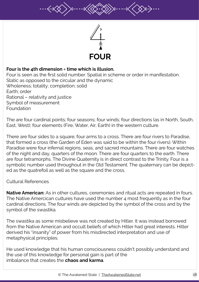

#### **Four is the 4th dimension = time which is illusion.**

Four is seen as the first solid number. Spatial in scheme or order in manifestation. Static as opposed to the circular and the dynamic Wholeness; totality; completion; solid Earth; order Rational – relativity and justice Symbol of measurement Foundation

The are four cardinal points; four seasons; four winds; four directions (as in North, South, East, West); four elements (Fire, Water, Air, Earth) in the western culture.

There are four sides to a square; four arms to a cross. There are four rivers to Paradise, that formed a cross (the Garden of Eden was said to be within the four rivers). Within Paradise were four infernal regions, seas, and sacred mountains. There are four watches of the night and day, quarters of the moon. There are four quarters to the earth. There are four tetramorphs. The Divine Quaternity is in direct contrast to the Trinity. Four is a symbolic number used throughout in the Old Testament. The quaternary can be depicted as the quatrefoil as well as the square and the cross.

#### Cultural References

**Native American:** As in other cultures, ceremonies and ritual acts are repeated in fours. The Native Amercican cultures have used the number 4 most frequently as in the four cardinal directions. The four winds are depicted by the symbol of the cross and by the symbol of the swastika.

The swastika as some misbelieve was not created by Hitler. It was instead borrowed from the Native American and occult beliefs of which Hitler had great interests. Hitler derived his "insanity" of power from his misdirected interpretation and use of metaphysical principles.

He used knowledge that his human consciousness couldn't possibly understand and the use of this knowledge for personal gain is part of the imbalance that creates the **chaos and karma**.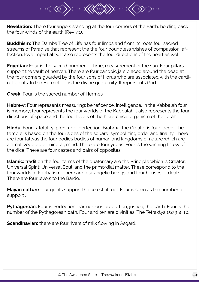**Revelation:** There four angels standing at the four corners of the Earth, holding back the four winds of the earth (Rev 7:1).

**Buddhism:** The Damba Tree of Life has four limbs and from its roots four sacred streams of Paradise that represent the the four boundless wishes of compassion, affection, love impartiality. It also represents the four directions of the heart as well.

**Egyptian:** Four is the sacred number of Time, measurement of the sun. Four pillars support the vault of heaven. There are four canopic jars placed around the dead at the four corners guarded by the four sons of Horus who are associated with the cardinal points. In the Hermetic it is the divine quaternity. It represents God.

**Greek:** Four is the sacred number of Hermes.

**Hebrew:** Four represents measuring; beneficence; intelligence. In the Kabbalah four is memory; four represents the four worlds of the Kabbalah.It also represents the four directions of space and the four levels of the hierarchical organism of the Torah.

**Hindu:** Four is Totality; plenitude; perfection. Brahma, the Creator is four faced. The temple is based on the four sides of the square, symbolizing order and finality. There are four tattvas the four bodies bodies of human and kingdoms of nature which are animal, vegetable, mineral, mind. There are four yugas. Four is the winning throw of the dice. There are four castes and pairs of opposites.

**Islamic:** tradition the four terms of the quaternary are the Principle which is Creator; Universal Spirit; Universal Soul; and the primordial matter. These correspond to the four worlds of Kabbalism. There are four angelic beings and four houses of death. There are four levels to the Bardo.

**Mayan culture** four giants support the celestial roof. Four is seen as the number of support .

**Pythagorean:** Four is Perfection; harmonious proportion; justice; the earth. Four is the number of the Pythagorean oath. Four and ten are divinities. The Tetraktys 1+2+3+4=10.

**Scandinavian:** there are four rivers of milk flowing in Asgard.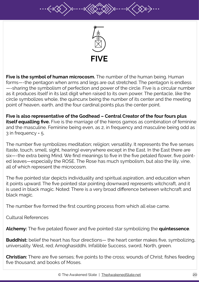

**Five is the symbol of human microcosm.** The number of the human being. Human forms—-the pentagon when arms and legs are out stretched. The pentagon is endless —-sharing the symbolism of perfection and power of the circle. Five is a circular number as it produces itself in its last digit when raised to its own power. The pentacle, like the circle symbolizes whole, the quincunx being the number of its center and the meeting point of heaven, earth, and the four cardinal points plus the center point.

**Five is also representative of the Godhead – Central Creator of the four fours plus itself equalling five.** Five is the marriage of the hieros gamos as combination of feminine and the masculine. Feminine being even, as 2, in frequency and masculine being odd as 3 in frequency = 5.

The number five symbolizes meditation; religion; versatility. It represents the five senses (taste, touch, smell, sight, hearing) everywhere except in the East. In the East there are six—-the extra being Mind. We find meanings to five in the five petaled flower, five pointed leaves—especially the ROSE. The Rose has much symbolism, but also the lily, vine, all of which represent the microcosm.

The five pointed star depicts individuality and spiritual aspiration, and education when it points upward. The five pointed star pointing downward represents witchcraft, and it is used in black magic. Noted: There is a very broad difference between witchcraft and black magic.

The number five formed the first counting process from which all else came.

Cultural References

**Alchemy:** The five petaled flower and five pointed star symbolizing the **quintessence**.

**Buddhist:** belief the heart has four directions— the heart center makes five, symbolizing, universality. West, red; Amoghasiddhi, Infallible Success, sword, North, green.

**Christian:** There are five senses; five points to the cross; wounds of Christ; fishes feeding five thousand; and books of Moses.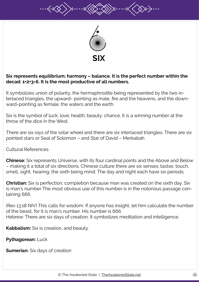

#### **Six represents equilibrium; harmony – balance. It is the perfect number within the decad: 1+2+3=6. It is the most productive of all numbers.**

It symbolizes union of polarity, the hermaphrodite being represented by the two interlaced triangles, the upward- pointing as male, fire and the heavens, and the downward-pointing as female, the waters and the earth.

Six is the symbol of luck; love; health; beauty; chance. It is a winning number at the throw of the dice in the West.

There are six rays of the solar wheel and there are six interlaced triangles. There are six pointed stars or Seal of Solomon – and Star of David – Merkabah

Cultural References

**Chinese:** Six represents Universe, with its four cardinal points and the Above and Below – making it a total of six directions. Chinese culture there are six senses: tastse, touch, smell, sight, hearing, the sixth being mind. The day and night each have six periods.

**Christian:** Six is perfection; completion because man was created on the sixth day. Six is man's number The most obvious use of this number is in the notorious passage containing 666.

(Rev 13:18 NIV) This calls for wisdom. If anyone has insight, let him calculate the number of the beast, for it is man's number. His number is 666. Hebrew: There are six days of creation. It symbolizes meditation and intelligence.

**Kabbalism:** Six is creation, and beauty.

**Pythagorean:** Luck

**Sumerian:** Six days of creation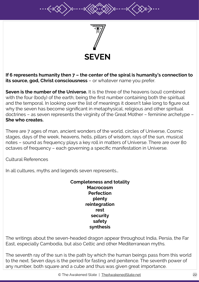

**If 6 represents humanity then 7 – the center of the spiral is humanity's connection to its source, god, Christ consciousness** – or whatever name you prefer.

**Seven is the number of the Universe.** It is the three of the heavens (soul) combined with the four (body) of the earth; being the first number containing both the spiritual and the temporal. In looking over the list of meanings it doesn't take long to figure out why the seven has become significant in metaphysical, religious and other spiritual doctrines – as seven represents the virginity of the Great Mother – feminine archetype – **She who creates.**

There are 7 ages of man, ancient wonders of the world, circles of Universe, Cosmic stages, days of the week, heavens, hells, pillars of wisdom, rays of the sun, musical notes – sound as frequency plays a key roll in matters of Universe. There are over 80 octaves of frequency – each governing a specific manifestation in Universe.

Cultural References

In all cultures, myths and legends seven represents…

**Completeness and totality Macrocosm Perfection plenty reintegration rest security safety synthesis**

The writings about the seven-headed dragon appear throughout India, Persia, the Far East, especially Cambodia, but also Celtic and other Mediterranean myths.

The seventh ray of the sun is the path by which the human beings pass from this world to the next. Seven days is the period for fasting and penitence. The seventh power of any number, both square and a cube and thus was given great importance.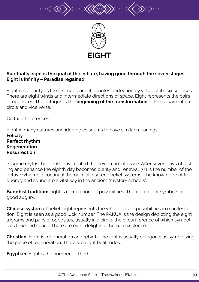

#### **Spiritually eight is the goal of the initiate, having gone through the seven stages. Eight is Infinity – Paradise regained.**

Eight is solidarity as the first cube and it denotes perfection by virtue of it's six surfaces. There are eight winds and intermediate directions of space. Eight represents the pairs of opposites. The octagon is the **beginning of the transformation** of the square into a circle and vice versa.

Cultural References

Eight in many cultures and ideologies seems to have similar meanings: **Felicity Perfect rhythm Regeneration Resurrection**

In some myths the eighth day created the new "man" of grace. After seven days of fasting and penance the eighth day becomes plenty and renewal. 7+1 is the number of the octave which is a continual theme in all esoteric belief systems. The knowledge of frequency and sound are a vital key in the ancient "mystery schools".

**Buddhist tradition:** eight is completion, all possibilities. There are eight symbols of good augury.

**Chinese system** of belief eight represents the whole. It is all possibilities in manifestation. Eight is seen as a good luck number. The PAKUA is the design depicting the eight trigrams and pairs of opposites, usually in a circle, the circumference of which symbolizes time and space. There are eight delights of human existence.

**Christian:** Eight is regeneration and rebirth. The font is usually octagonal as symbolizing the place of regeneration. There are eight beatitudes.

**Egyptian:** Eight is the number of Thoth.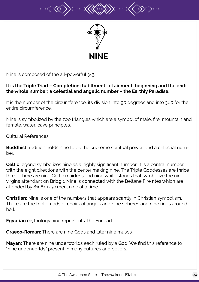



Nine is composed of the all-powerful 3×3.

#### **It is the Triple Triad – Completion; fulfillment; attainment; beginning and the end; the whole number; a celestial and angelic number – the Earthly Paradise.**

It is the number of the circumference, its division into 90 degrees and into 360 for the entire circumference.

Nine is symbolized by the two triangles which are a symbol of male, fire, mountain and female, water, cave principles.

Cultural References

**Buddhist** tradition holds nine to be the supreme spiritual power, and a celestial number.

**Celtic** legend symbolizes nine as a highly significant number. It is a central number with the eight directions with the center making nine. The Triple Goddesses are thrice three. There are nine Celtic maidens and nine white stones that symbolize the nine virgins attendant on Bridgit. Nine is connected with the Beltane Fire rites which are attended by  $81(8+1=9)$  men, nine at a time.

**Christian:** Nine is one of the numbers that appears scantly in Christian symbolism. There are the triple triads of choirs of angels and nine spheres and nine rings around hell.

**Egyptian** mythology nine represents The Ennead.

**Graeco-Roman:** There are nine Gods and later nine muses.

**Mayan:** There are nine underworlds each ruled by a God. We find this reference to "nine underworlds" present in many cultures and beliefs.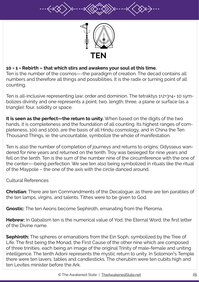

#### **10 = 1 = Rebirth – that which stirs and awakens your soul at this time.**

Ten is the number of the cosmos—-the paradigm of creation. The decad contains all numbers and therefore all things and possibilities. It is the radix or turning point of all counting.

Ten is all-inclusive representing law; order and dominion. The tetraktys 1+2+3+4= 10 symbolizes divinity and one represents a point; two, length; three, a plane or surface (as a triangle); four, solidity or space.

**It is seen as the perfect—the return to unity.** When based on the digits of the two hands, it is completeness and the foundation of all counting. Its highest ranges of completeness, 100 and 1000, are the basis of all Hindu cosmology, and in China the Ten Thousand Things, ie: the uncountable, symbolize the whole of manifestation.

Ten is also the number of completion of journeys and returns to origins: Odysseus wandered for nine years and returned on the tenth. Troy was besieged for nine years and fell on the tenth. Ten is the sum of the number nine of the circumference with the one of the center—-being perfection. We see ten also being symbolized in rituals like the ritual of the Maypole – the one of the axis with the circle danced around.

Cultural References

**Christian:** There are ten Commandments of the Decalogue; as there are ten parables of the ten lamps, virgins, and talents. Tithes were to be given to God.

**Gnostic:** The ten Aeons become Sephiroth, emanating from the Pleroma.

**Hebrew:** In Qabalism ten is the numerical value of Yod, the Eternal Word, the first letter of the Divine name.

**Sephiroth:** The spheres or emanations from the Ein Soph, symbolized by the Tree of Life. The first being the Monad, the First Cause of the other nine which are composed of three trinities, each being an image of the original Trinity of male-female and uniting intelligence. The tenth Adoni represents the mystic return to unity. In Solomon<sup>1</sup>s Temple there were ten lavers, tables and candlesticks. The cherubim were ten cubits high and ten Levites minister before the Ark.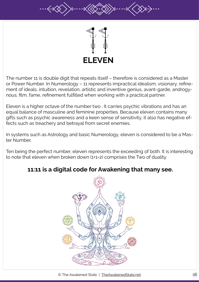

The number 11 is double digit that repeats itself – therefore is considered as a Master or Power Number. In Numerology – 11 represents impractical idealism, visionary, refinement of ideals, intuition, revelation, artistic and inventive genius, avant-garde, androgynous, film, fame, refinement fulfilled when working with a practical partner.

Eleven is a higher octave of the number two . It carries psychic vibrations and has an equal balance of masculine and feminine properties. Because eleven contains many gifts such as psychic awareness and a keen sense of sensitivity, it also has negative effects such as treachery and betrayal from secret enemies.

In systems such as Astrology and basic Numerology, eleven is considered to be a Master Number.

Ten being the perfect number, eleven represents the exceeding of both. It is interesting to note that eleven when broken down (1+1=2) comprises the Two of duality.

### **11:11 is a digital code for Awakening that many see.**

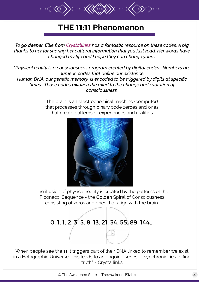# **THE 11:11 Phenomenon**

*To go deeper, Ellie from [Crystallinks](http://www.crystalinks.com/11.11.html) has a fantastic resource on these codes. A big thanks to her for sharing her cultural information that you just read. Her words have changed my life and I hope they can change yours.*

*"Physical reality is a consciousness program created by digital codes. Numbers are numeric codes that define our existence. Human DNA, our genetic memory, is encoded to be triggered by digits at specific times. Those codes awaken the mind to the change and evolution of consciousness.*

> The brain is an electrochemical machine (computer) that processes through binary code zeroes and ones that create patterns of experiences and realities.



The illusion of physical reality is created by the patterns of the Fibonacci Sequence - the Golden Spiral of Consciousness consisting of zeros and ones that align with the brain.

# 0. 1. 1. 2. 3. 5. 8. 13. 21. 34. 55. 89. 144...

When people see the 11 it triggers part of their DNA linked to remember we exist in a Holographic Universe. This leads to an ongoing series of synchronicities to find truth." - Crystallinks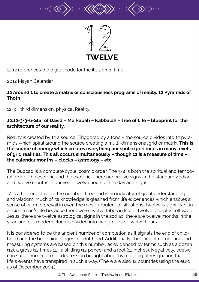

12:12 references the digital code for the illusion of time.

2012 Mayan Calendar

#### **12 Around 1 to create a matrix or consciousness programs of reality. 12 Pyramids of Thoth**

12=3 = third dimension, physical Reality.

#### **12:12=3+3=6=Star of David – Merkabah – Kabbalah – Tree of Life – blueprint for the architecture of our reality.**

Reality is created by 12 a source. (Triggered by a tone – the source divides into 12 pyramids which spiral around the source creating a multi-dimensional grid or matrix. **This is the source of energy which creates everything our soul experiences in many levels of grid realities. This all occurs simultaneously – though 12 is a measure of time – the calendar months – clocks – astrology – etc.**

The Duocad is a complete cycle; cosmic order. The 3×4 is both the spiritual and temporal order—the esoteric and the exoteric. There are twelve signs in the standard Zodiac and twelve months in our year. Twelve hours of the day and night.

12 is a higher octave of the number three and is an indicator of great understanding and wisdom. Much of its knowledge is gleaned from life experiences which enables a sense of calm to prevail in even the most turbulent of situations. Twelve is significant in ancient man<sup>1</sup>s life because there were twelve tribes in Israel, twelve disciples followed Jesus, there are twelve astrological signs in the zodiac, there are twelve months in the year, and our modern clock is divided into two groups of twelve hours.

It is considered to be the ancient number of completion as it signals the end of childhood and the beginning stages of adulthood. Additionally, the ancient numbering and measuring systems are based on this number, as evidenced by terms such as a dozen (12), a gross (12 times 12), a shilling (12 pence) and a foot (12 inches). Negatively, twelve can suffer from a form of depression brought about by a feeling of resignation that life<sup>1</sup>s events have transpired in such a way. (There are also 12 countries using the euro as of December 2004.)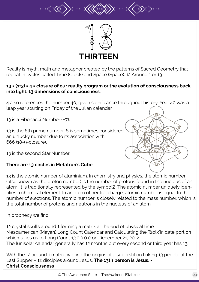

Reality is myth, math and metaphor created by the patterns of Sacred Geometry that repeat in cycles called Time (Clock) and Space (Space). 12 Around 1 or 13

#### **13 = (1+3) = 4 = closure of our reality program or the evolution of consciousness back into light. 13 dimensions of consciousness.**

4 also references the number 40, given significance throughout history. Year 40 was a leap year starting on Friday of the Julian calendar.

13 is a Fibonacci Number (F7).

13 is the 6th prime number. 6 is sometimes considered an unlucky number due to its association with 666 (18=9=closure).



13 is the second Star Number.

#### **There are 13 circles in Metatron's Cube.**

13 is the atomic number of aluminium. In chemistry and physics, the atomic number (also known as the proton number) is the number of protons found in the nucleus of an atom. It is traditionally represented by the symbolZ. The atomic number uniquely identifies a chemical element. In an atom of neutral charge, atomic number is equal to the number of electrons. The atomic number is closely related to the mass number, which is the total number of protons and neutrons in the nucleus of an atom.

In prophecy we find:

12 crystal skulls around 1 forming a matrix at the end of physical time Mesoamerican (Mayan) Long Count Calendar and Calculating the Tzolk'in date portion which takes us to Long Count 13.0.0.0.0 on December 21, 2012. The lunisolar calendar generally has 12 months but every second or third year has 13.

With the 12 around 1 matrix, we find the origins of a superstition linking 13 people at the Last Supper – 12 disciples around Jesus, **The 13th person is Jesus. - Christ Consciousness**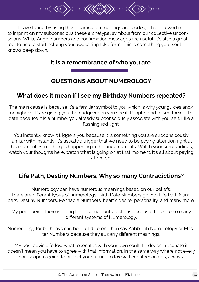I have found by using these particular meanings and codes, it has allowed me to imprint on my subconscious these archetypal symbols from our collective unconscious. While Angel numbers and confirmation messages are useful, it's also a great tool to use to start helping your awakening take form. This is something your soul knows deep down,

### **It is a remembrance of who you are.**

# **QUESTIONS ABOUT NUMEROLOGY**

### **What does it mean if I see my Birthday Numbers repeated?**

The main cause is because it's a familiar symbol to you which is why your guides and/ or higher self are giving you the nudge when you see it. People tend to see their birth date because it is a number you already subconsciously associate with yourself. Like a flashing red light.

You instantly know it triggers you because it is something you are subconsicously familar with instantly. it's usually a trigger that we need to be paying attention right at this moment. Something is happening in the undercurrents. Watch your surroundings, watch your thoughts here, watch what is going on at that moment. It's all about paying attention.

### **Life Path, Destiny Numbers, Why so many Contradictions?**

Numerology can have numerous meanings based on our beliefs. There are different types of numerology: Birth Date Numbers go into Life Path Numbers, Destiny Numbers, Pennacle Numbers, heart's desire, personality, and many more.

My point being there is going to be some contradictions because there are so many different systems of Numerology.

Numerology for birthdays can be a lot different than say Kabbalah Numerology or Master Numbers because they all carry different meanings.

My best advice, follow what resonates with your own soul! If it doesn't resonate it doesn't mean you have to agree with that information. In the same way where not every horoscope is going to predict your future, follow with what resonates, always.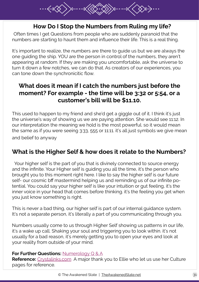

# **How Do I Stop the Numbers from Ruling my life?**

Often times I get Questions from people who are suddenly paranoid that the numbers are starting to haunt them and influence their life. This is a real thing.

I

It's important to realize, the numbers are there to guide us but we are always the one guiding the ship. YOU are the person in control of the numbers, they aren't appearing at random. If they are making you uncomfortable, ask the universe to turn it down a few notches, we can do that. As creators of our experiences, you can tone down the synchronicitic flow.

# **What does it mean if I catch the numbers just before the moment? For example - the time will be 3:32 or 5:54, or a customer's bill will be \$11.10.**

This used to happen to my friend and she'd get a giggle out of it. I think it's just the universe's way of showing us we are paying attention. She would see 11:12. In our interpretation the meaning we hold is the most powerful. so it would mean the same as if you were seeing 3:33, 555 or 11:11. it's all just symbols we give mean and belief to anyway

# **What is the Higher Self & how does it relate to the Numbers?**

 Your higher self is the part of you that is divinely connected to source energy and the infinite. Your Higher self is guiding you all the time, it's the person who brought you to this moment right here. I like to say the higher self is our future self- our cosmic bff mastermind helping us and reminding us of our infinite potential. You could say your higher self is like your intuition or gut feeling, it's the inner voice in your head that comes before thinking. it's the feeling you get when you just know something is right.

This is never a bad thing, our higher self is part of our internal guidance system. It's not a separate person, it's literally a part of you communicating through you.

Numbers usually come to us through Higher Self showing us patterns in our life, it's a wake up call. Shaking your soul and triggering you to look within. it's not usually for a bad reason, it's merely getting you to open your eyes and look at your reality from outside of your mind.

#### **For Further Questions:** [Numerology Q & A](http://theawakenedstate.net/category/numerology/)

**Reference:** [Crystalinks.com](http://www.crystalinks.com/numerology.html) A major thank you to Ellie who let us use her Culture pages for reference.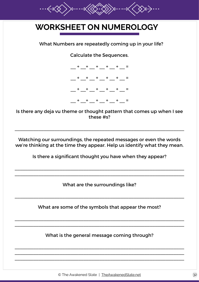

# **WORKSHEET ON NUMEROLOGY**

What Numbers are repeatedly coming up in your life?

Calculate the Sequences.



Is there any deja vu theme or thought pattern that comes up when I see these #s?

Watching our surroundings, the repeated messages or even the words we're thinking at the time they appear. Help us identify what they mean.

\_\_\_\_\_\_\_\_\_\_\_\_\_\_\_\_\_\_\_\_\_\_\_\_\_\_\_\_\_\_\_\_\_\_\_\_\_\_\_\_\_\_\_\_\_\_\_\_\_\_\_\_\_\_\_\_\_\_\_\_\_\_\_\_

Is there a significant thought you have when they appear?

\_\_\_\_\_\_\_\_\_\_\_\_\_\_\_\_\_\_\_\_\_\_\_\_\_\_\_\_\_\_\_\_\_\_\_\_\_\_\_\_\_\_\_\_\_\_\_\_\_\_\_\_\_\_\_\_\_\_\_\_\_\_\_\_ \_\_\_\_\_\_\_\_\_\_\_\_\_\_\_\_\_\_\_\_\_\_\_\_\_\_\_\_\_\_\_\_\_\_\_\_\_\_\_\_\_\_\_\_\_\_\_\_\_\_\_\_\_\_\_\_\_\_\_\_\_\_\_\_

What are the surroundings like?

What are some of the symbols that appear the most?

\_\_\_\_\_\_\_\_\_\_\_\_\_\_\_\_\_\_\_\_\_\_\_\_\_\_\_\_\_\_\_\_\_\_\_\_\_\_\_\_\_\_\_\_\_\_\_\_\_\_\_\_\_\_\_\_\_\_\_\_\_\_\_\_ \_\_\_\_\_\_\_\_\_\_\_\_\_\_\_\_\_\_\_\_\_\_\_\_\_\_\_\_\_\_\_\_\_\_\_\_\_\_\_\_\_\_\_\_\_\_\_\_\_\_\_\_\_\_\_\_\_\_\_\_\_\_\_\_

\_\_\_\_\_\_\_\_\_\_\_\_\_\_\_\_\_\_\_\_\_\_\_\_\_\_\_\_\_\_\_\_\_\_\_\_\_\_\_\_\_\_\_\_\_\_\_\_\_\_\_\_\_\_\_\_\_\_\_\_\_\_\_\_

What is the general message coming through?

\_\_\_\_\_\_\_\_\_\_\_\_\_\_\_\_\_\_\_\_\_\_\_\_\_\_\_\_\_\_\_\_\_\_\_\_\_\_\_\_\_\_\_\_\_\_\_\_\_\_\_\_\_\_\_\_\_\_\_\_\_\_\_\_ \_\_\_\_\_\_\_\_\_\_\_\_\_\_\_\_\_\_\_\_\_\_\_\_\_\_\_\_\_\_\_\_\_\_\_\_\_\_\_\_\_\_\_\_\_\_\_\_\_\_\_\_\_\_\_\_\_\_\_\_\_\_\_\_ \_\_\_\_\_\_\_\_\_\_\_\_\_\_\_\_\_\_\_\_\_\_\_\_\_\_\_\_\_\_\_\_\_\_\_\_\_\_\_\_\_\_\_\_\_\_\_\_\_\_\_\_\_\_\_\_\_\_\_\_\_\_\_\_